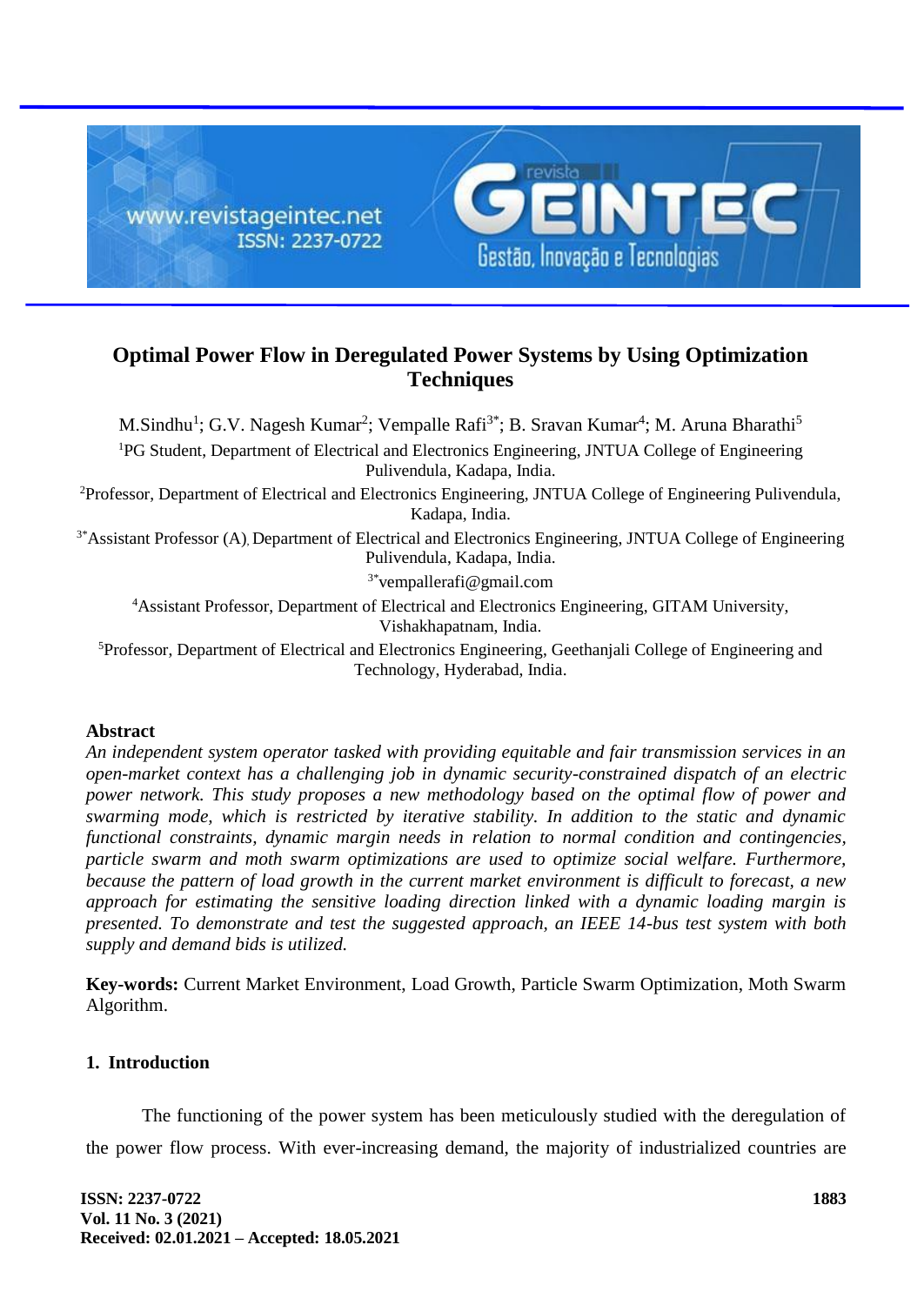

# **Optimal Power Flow in Deregulated Power Systems by Using Optimization Techniques**

M.Sindhu<sup>1</sup>; G.V. Nagesh Kumar<sup>2</sup>; Vempalle Rafi<sup>3\*</sup>; B. Sravan Kumar<sup>4</sup>; M. Aruna Bharathi<sup>5</sup> <sup>1</sup>PG Student, Department of Electrical and Electronics Engineering, JNTUA College of Engineering Pulivendula, Kadapa, India.

<sup>2</sup>Professor, Department of Electrical and Electronics Engineering, JNTUA College of Engineering Pulivendula, Kadapa, India.

<sup>3\*</sup>Assistant Professor (A), Department of Electrical and Electronics Engineering, JNTUA College of Engineering Pulivendula, Kadapa, India.

3\*vempallerafi@gmail.com

<sup>4</sup>Assistant Professor, Department of Electrical and Electronics Engineering, GITAM University, Vishakhapatnam, India.

<sup>5</sup>Professor, Department of Electrical and Electronics Engineering, Geethanjali College of Engineering and Technology, Hyderabad, India.

## **Abstract**

*An independent system operator tasked with providing equitable and fair transmission services in an open-market context has a challenging job in dynamic security-constrained dispatch of an electric power network. This study proposes a new methodology based on the optimal flow of power and swarming mode, which is restricted by iterative stability. In addition to the static and dynamic functional constraints, dynamic margin needs in relation to normal condition and contingencies, particle swarm and moth swarm optimizations are used to optimize social welfare. Furthermore, because the pattern of load growth in the current market environment is difficult to forecast, a new approach for estimating the sensitive loading direction linked with a dynamic loading margin is presented. To demonstrate and test the suggested approach, an IEEE 14-bus test system with both supply and demand bids is utilized.*

**Key-words:** Current Market Environment, Load Growth, Particle Swarm Optimization, Moth Swarm Algorithm.

## **1. Introduction**

The functioning of the power system has been meticulously studied with the deregulation of the power flow process. With ever-increasing demand, the majority of industrialized countries are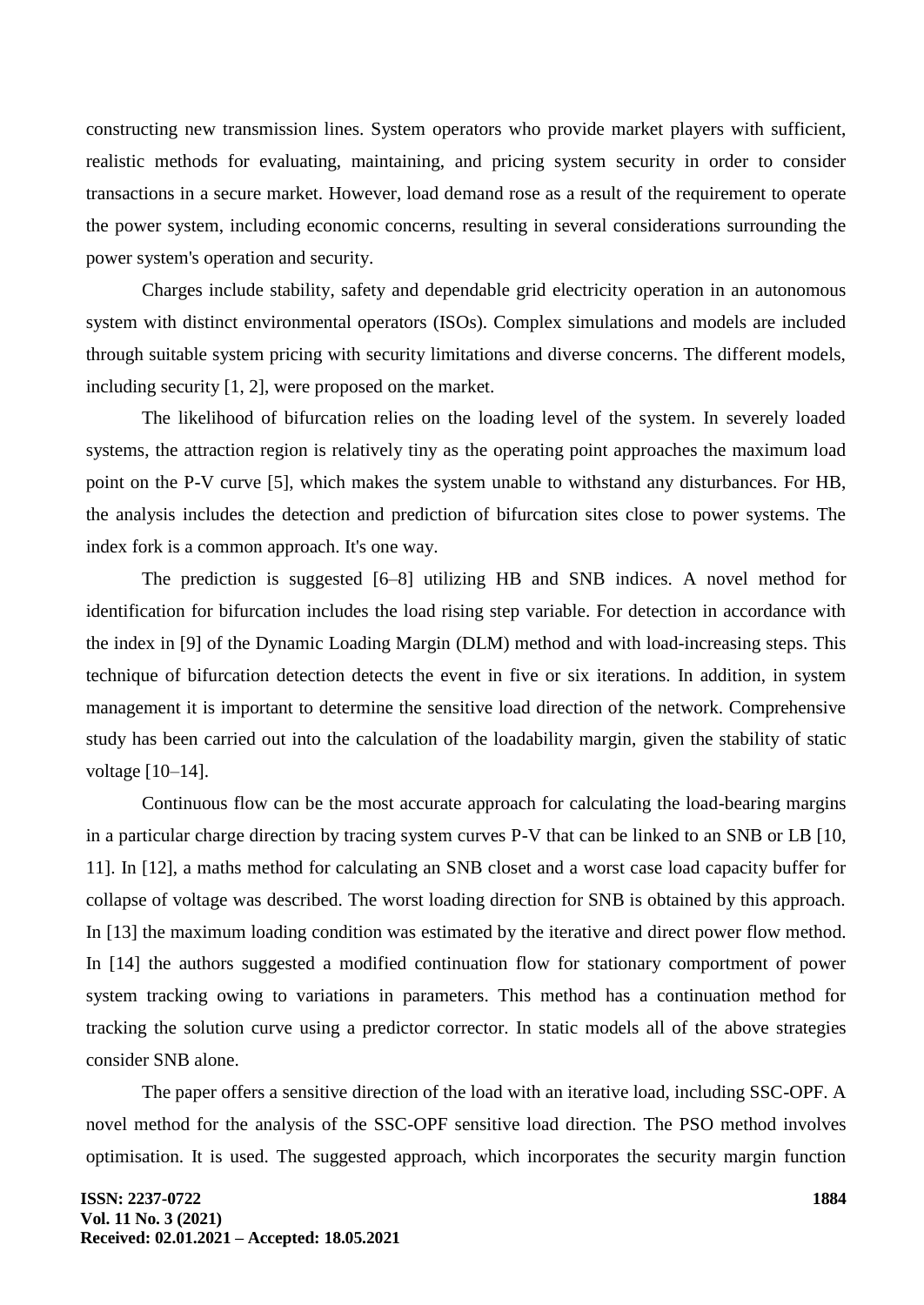constructing new transmission lines. System operators who provide market players with sufficient, realistic methods for evaluating, maintaining, and pricing system security in order to consider transactions in a secure market. However, load demand rose as a result of the requirement to operate the power system, including economic concerns, resulting in several considerations surrounding the power system's operation and security.

Charges include stability, safety and dependable grid electricity operation in an autonomous system with distinct environmental operators (ISOs). Complex simulations and models are included through suitable system pricing with security limitations and diverse concerns. The different models, including security [1, 2], were proposed on the market.

The likelihood of bifurcation relies on the loading level of the system. In severely loaded systems, the attraction region is relatively tiny as the operating point approaches the maximum load point on the P-V curve [5], which makes the system unable to withstand any disturbances. For HB, the analysis includes the detection and prediction of bifurcation sites close to power systems. The index fork is a common approach. It's one way.

The prediction is suggested [6–8] utilizing HB and SNB indices. A novel method for identification for bifurcation includes the load rising step variable. For detection in accordance with the index in [9] of the Dynamic Loading Margin (DLM) method and with load-increasing steps. This technique of bifurcation detection detects the event in five or six iterations. In addition, in system management it is important to determine the sensitive load direction of the network. Comprehensive study has been carried out into the calculation of the loadability margin, given the stability of static voltage [10–14].

Continuous flow can be the most accurate approach for calculating the load-bearing margins in a particular charge direction by tracing system curves P-V that can be linked to an SNB or LB [10, 11]. In [12], a maths method for calculating an SNB closet and a worst case load capacity buffer for collapse of voltage was described. The worst loading direction for SNB is obtained by this approach. In [13] the maximum loading condition was estimated by the iterative and direct power flow method. In [14] the authors suggested a modified continuation flow for stationary comportment of power system tracking owing to variations in parameters. This method has a continuation method for tracking the solution curve using a predictor corrector. In static models all of the above strategies consider SNB alone.

The paper offers a sensitive direction of the load with an iterative load, including SSC-OPF. A novel method for the analysis of the SSC-OPF sensitive load direction. The PSO method involves optimisation. It is used. The suggested approach, which incorporates the security margin function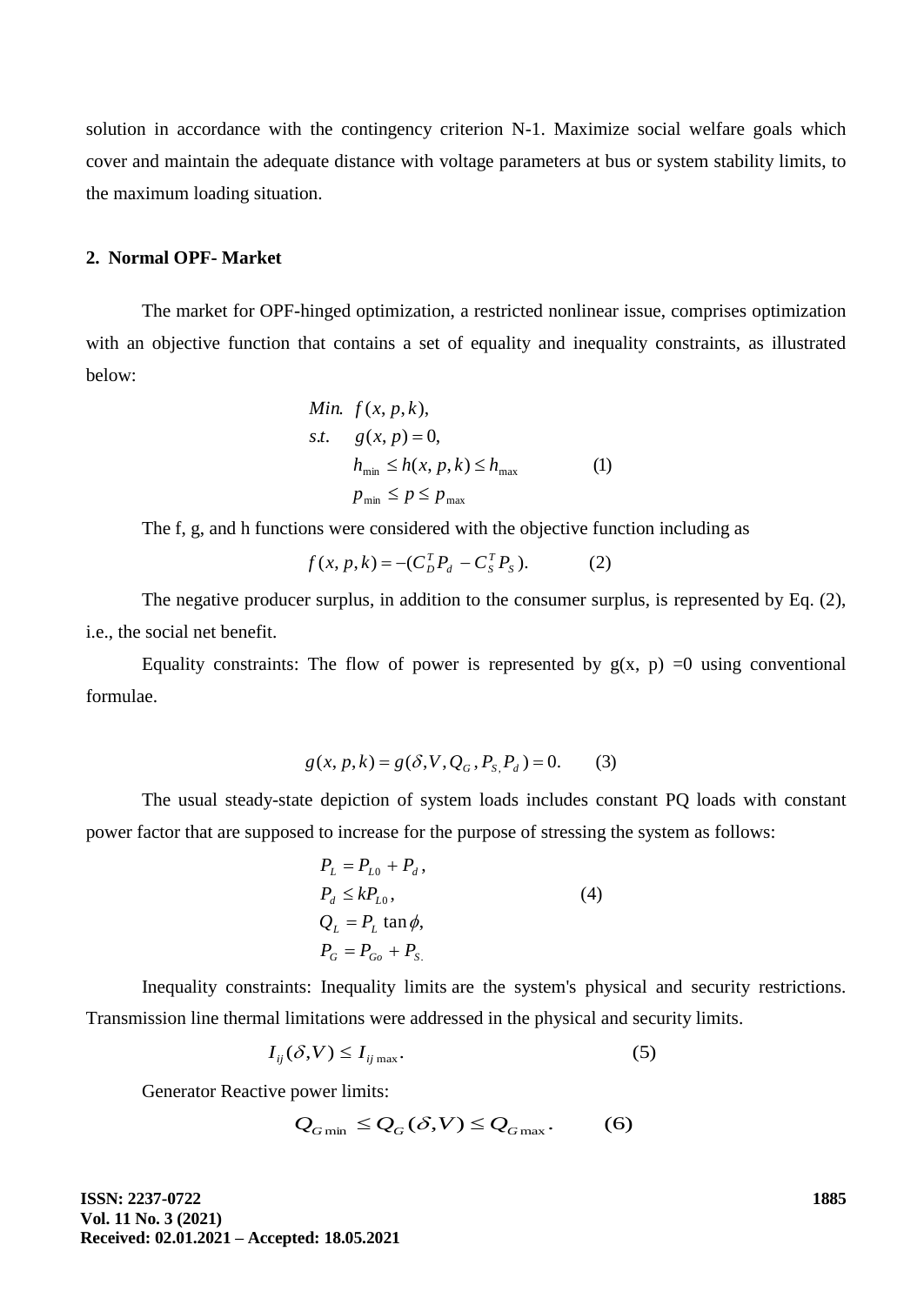solution in accordance with the contingency criterion N-1. Maximize social welfare goals which cover and maintain the adequate distance with voltage parameters at bus or system stability limits, to the maximum loading situation.

#### **2. Normal OPF- Market**

The market for OPF-hinged optimization, a restricted nonlinear issue, comprises optimization with an objective function that contains a set of equality and inequality constraints, as illustrated below:

Min. 
$$
f(x, p, k)
$$
,  
\ns.t.  $g(x, p) = 0$ ,  
\n $h_{\min} \le h(x, p, k) \le h_{\max}$  (1)  
\n $p_{\min} \le p \le p_{\max}$ 

The f, g, and h functions were considered with the objective function including as

$$
f(x, p, k) = -(C_D^T P_d - C_S^T P_S). \tag{2}
$$

The negative producer surplus, in addition to the consumer surplus, is represented by Eq. (2), i.e., the social net benefit.

Equality constraints: The flow of power is represented by  $g(x, p) = 0$  using conventional formulae.

$$
g(x, p, k) = g(\delta, V, Q_G, P_{S_1} P_d) = 0.
$$
 (3)

The usual steady-state depiction of system loads includes constant PQ loads with constant power factor that are supposed to increase for the purpose of stressing the system as follows:

$$
P_{L} = P_{L0} + P_{d},
$$
  
\n
$$
P_{d} \leq kP_{L0},
$$
  
\n
$$
Q_{L} = P_{L} \tan \phi,
$$
  
\n
$$
P_{G} = P_{Go} + P_{S}.
$$
  
\n(4)

Inequality constraints: Inequality limits are the system's physical and security restrictions. Transmission line thermal limitations were addressed in the physical and security limits.

$$
I_{ij}(\delta, V) \le I_{ij \max}.\tag{5}
$$

Generator Reactive power limits:

$$
Q_{G\min} \le Q_G(\delta, V) \le Q_{G\max}.
$$
 (6)

**ISSN: 2237-0722 Vol. 11 No. 3 (2021) Received: 02.01.2021 – Accepted: 18.05.2021** **1885**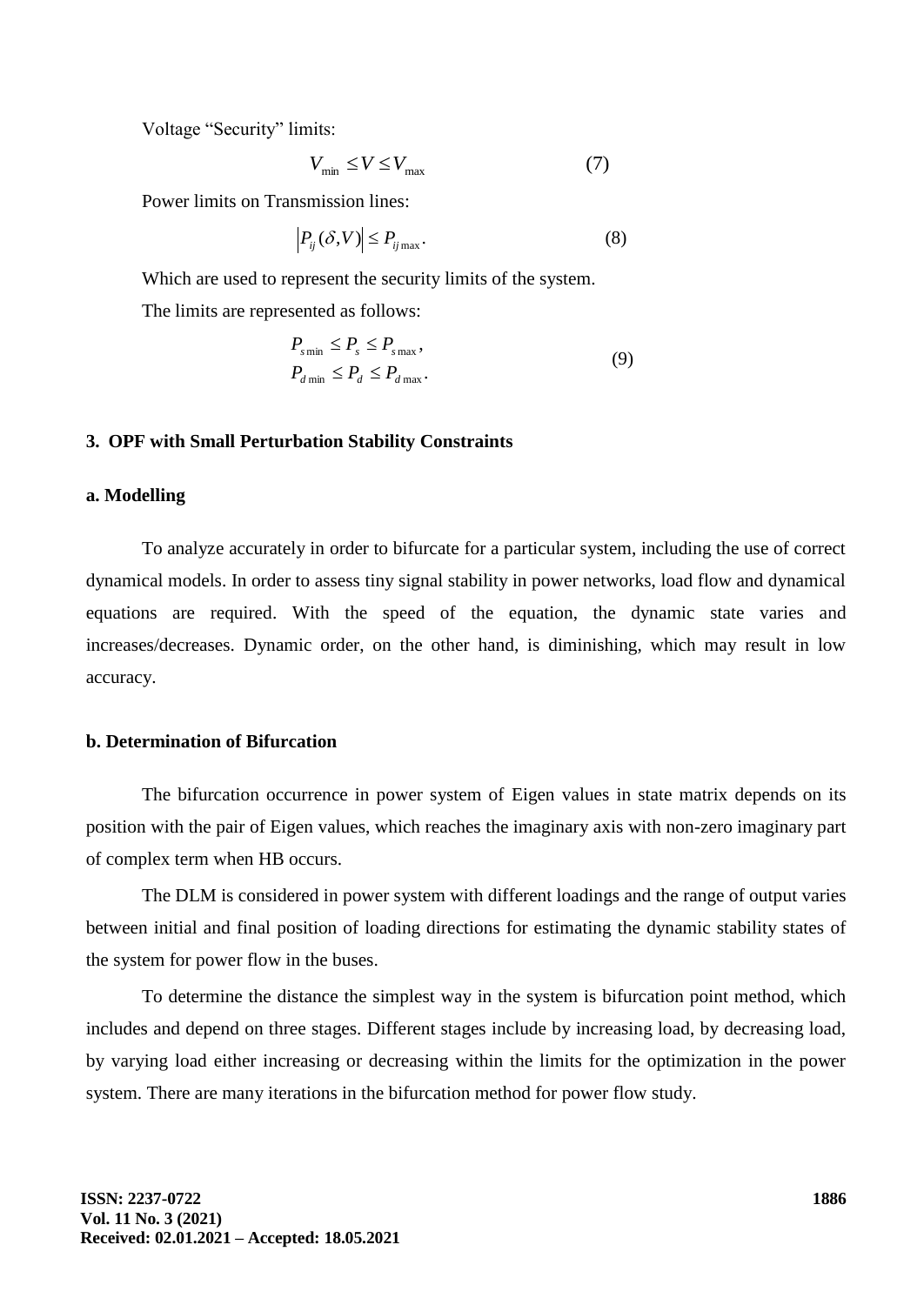Voltage "Security" limits:

$$
V_{\min} \le V \le V_{\max} \tag{7}
$$

Power limits on Transmission lines:

$$
\left| P_{ij}(\delta, V) \right| \le P_{ij \max}.
$$
\n(8)

Which are used to represent the security limits of the system.

The limits are represented as follows:

$$
P_{s\min} \le P_s \le P_{s\max},
$$
  
\n
$$
P_{d\min} \le P_d \le P_{d\max}.
$$
\n(9)

#### **3. OPF with Small Perturbation Stability Constraints**

#### **a. Modelling**

To analyze accurately in order to bifurcate for a particular system, including the use of correct dynamical models. In order to assess tiny signal stability in power networks, load flow and dynamical equations are required. With the speed of the equation, the dynamic state varies and increases/decreases. Dynamic order, on the other hand, is diminishing, which may result in low accuracy.

#### **b. Determination of Bifurcation**

The bifurcation occurrence in power system of Eigen values in state matrix depends on its position with the pair of Eigen values, which reaches the imaginary axis with non-zero imaginary part of complex term when HB occurs.

The DLM is considered in power system with different loadings and the range of output varies between initial and final position of loading directions for estimating the dynamic stability states of the system for power flow in the buses.

To determine the distance the simplest way in the system is bifurcation point method, which includes and depend on three stages. Different stages include by increasing load, by decreasing load, by varying load either increasing or decreasing within the limits for the optimization in the power system. There are many iterations in the bifurcation method for power flow study.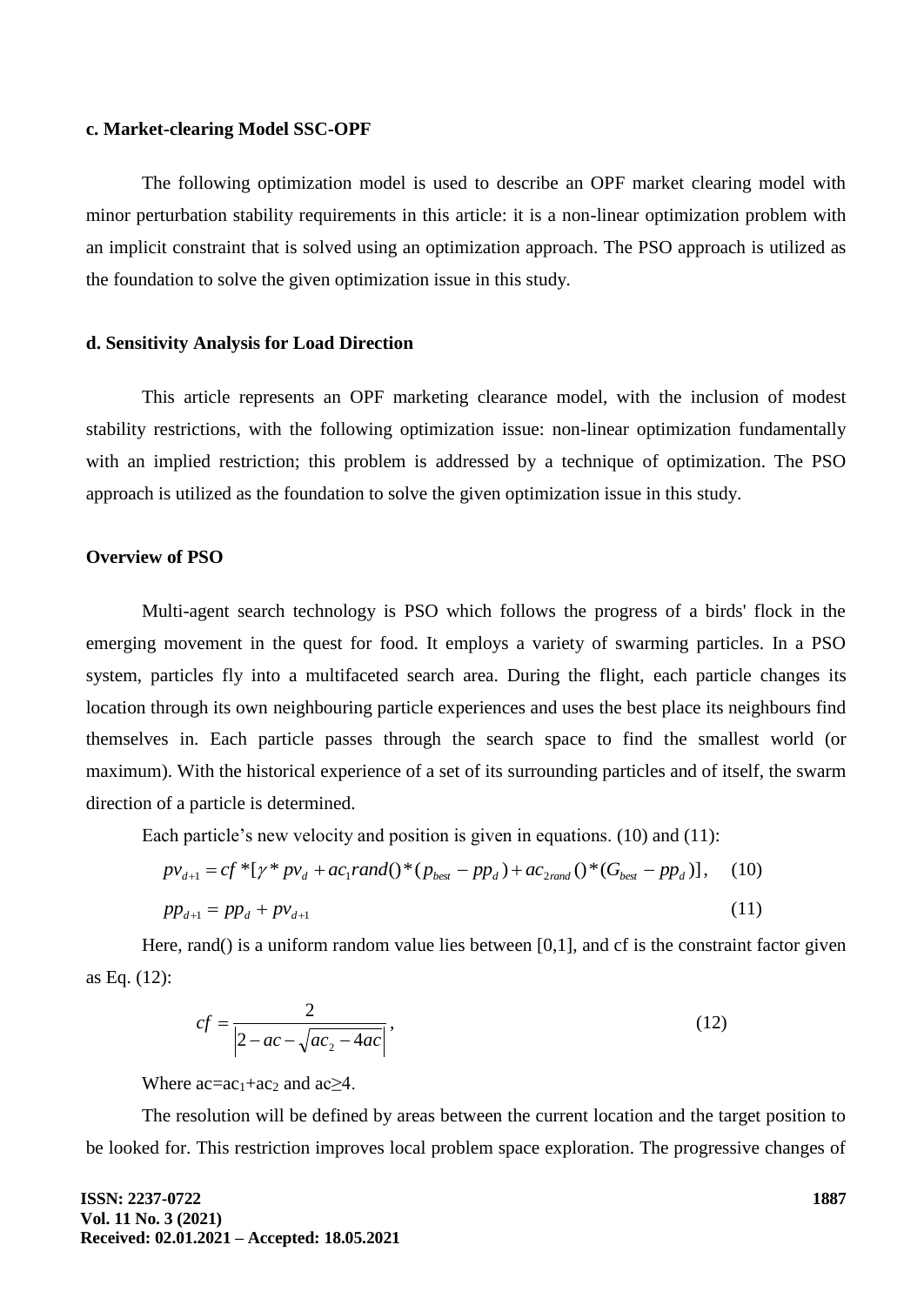#### **c. Market-clearing Model SSC-OPF**

The following optimization model is used to describe an OPF market clearing model with minor perturbation stability requirements in this article: it is a non-linear optimization problem with an implicit constraint that is solved using an optimization approach. The PSO approach is utilized as the foundation to solve the given optimization issue in this study.

#### **d. Sensitivity Analysis for Load Direction**

This article represents an OPF marketing clearance model, with the inclusion of modest stability restrictions, with the following optimization issue: non-linear optimization fundamentally with an implied restriction; this problem is addressed by a technique of optimization. The PSO approach is utilized as the foundation to solve the given optimization issue in this study.

### **Overview of PSO**

Multi-agent search technology is PSO which follows the progress of a birds' flock in the emerging movement in the quest for food. It employs a variety of swarming particles. In a PSO system, particles fly into a multifaceted search area. During the flight, each particle changes its location through its own neighbouring particle experiences and uses the best place its neighbours find themselves in. Each particle passes through the search space to find the smallest world (or maximum). With the historical experience of a set of its surrounding particles and of itself, the swarm direction of a particle is determined.

Each particle's new velocity and position is given in equations. (10) and (11):

$$
pv_{d+1} = cf^*[\gamma^* p v_d + ac_1 rand()^* (p_{best} - pp_d) + ac_{2rand} ()^* (G_{best} - pp_d)],
$$
 (10)  

$$
pp_{d+1} = pp_d + pv_{d+1}
$$

Here, rand() is a uniform random value lies between [0,1], and cf is the constraint factor given as Eq. (12):

$$
cf = \frac{2}{|2 - ac - \sqrt{ac_2 - 4ac}|},
$$
\n(12)

Where  $ac=a_1+ac_2$  and  $ac_2$ 4.

The resolution will be defined by areas between the current location and the target position to be looked for. This restriction improves local problem space exploration. The progressive changes of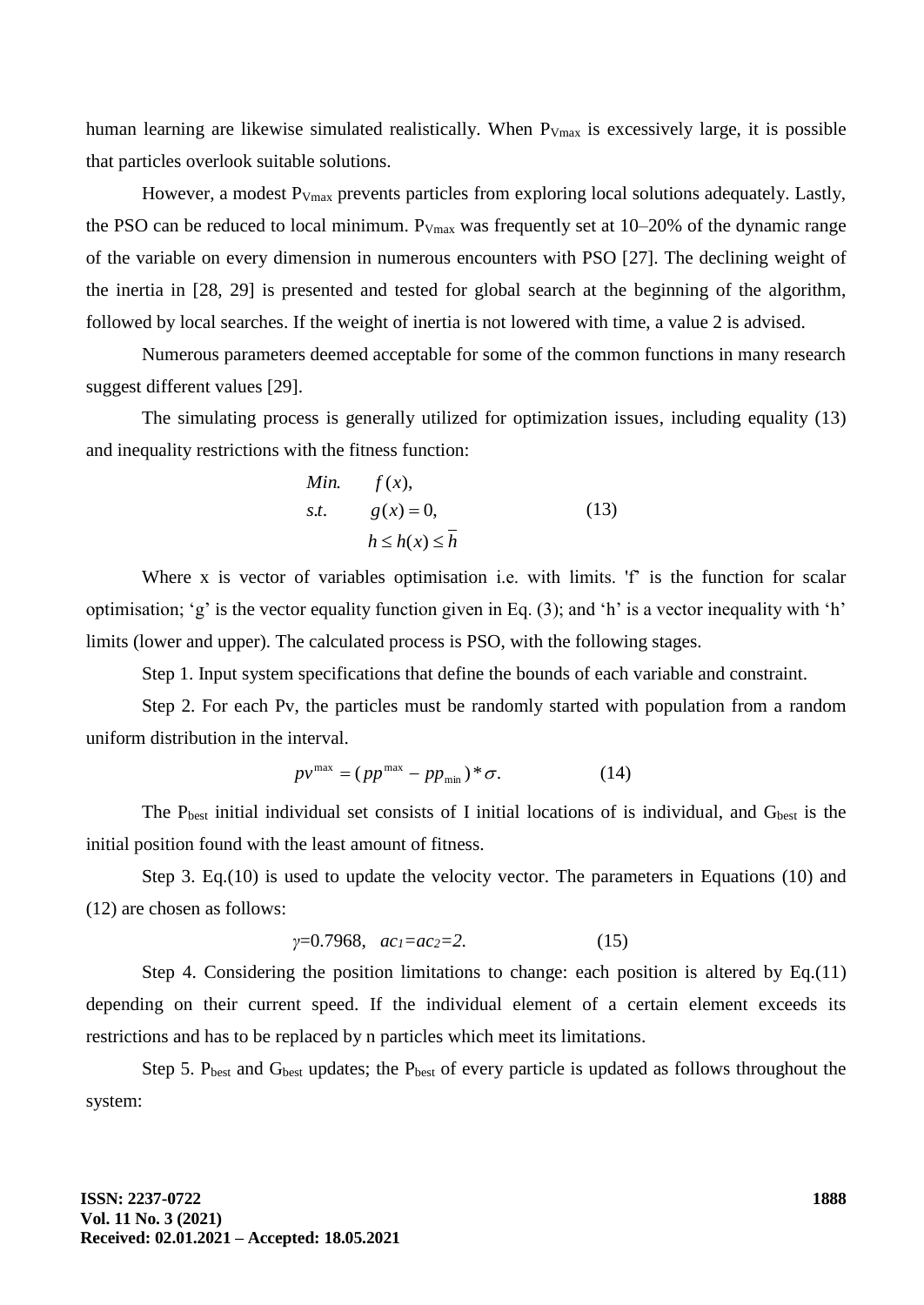human learning are likewise simulated realistically. When  $P_{Vmax}$  is excessively large, it is possible that particles overlook suitable solutions.

However, a modest P<sub>Vmax</sub> prevents particles from exploring local solutions adequately. Lastly, the PSO can be reduced to local minimum.  $P_{Vmax}$  was frequently set at 10–20% of the dynamic range of the variable on every dimension in numerous encounters with PSO [27]. The declining weight of the inertia in [28, 29] is presented and tested for global search at the beginning of the algorithm, followed by local searches. If the weight of inertia is not lowered with time, a value 2 is advised.

Numerous parameters deemed acceptable for some of the common functions in many research suggest different values [29].

The simulating process is generally utilized for optimization issues, including equality (13) and inequality restrictions with the fitness function:

Min. 
$$
f(x)
$$
,  
\ns.t.  $g(x) = 0$ ,  $h \le h(x) \le \overline{h}$  (13)

Where x is vector of variables optimisation i.e. with limits. 'f' is the function for scalar optimisation; 'g' is the vector equality function given in Eq. (3); and 'h' is a vector inequality with 'h' limits (lower and upper). The calculated process is PSO, with the following stages.

Step 1. Input system specifications that define the bounds of each variable and constraint.

Step 2. For each Pv, the particles must be randomly started with population from a random uniform distribution in the interval.

$$
p v^{\max} = (p p^{\max} - p p_{\min})^* \sigma.
$$
 (14)

The P<sub>best</sub> initial individual set consists of I initial locations of is individual, and G<sub>best</sub> is the initial position found with the least amount of fitness.

Step 3. Eq.(10) is used to update the velocity vector. The parameters in Equations (10) and (12) are chosen as follows:

$$
\gamma=0.7968, \ ac_1=ac_2=2. \tag{15}
$$

Step 4. Considering the position limitations to change: each position is altered by Eq.(11) depending on their current speed. If the individual element of a certain element exceeds its restrictions and has to be replaced by n particles which meet its limitations.

Step 5.  $P_{best}$  and  $G_{best}$  updates; the  $P_{best}$  of every particle is updated as follows throughout the system: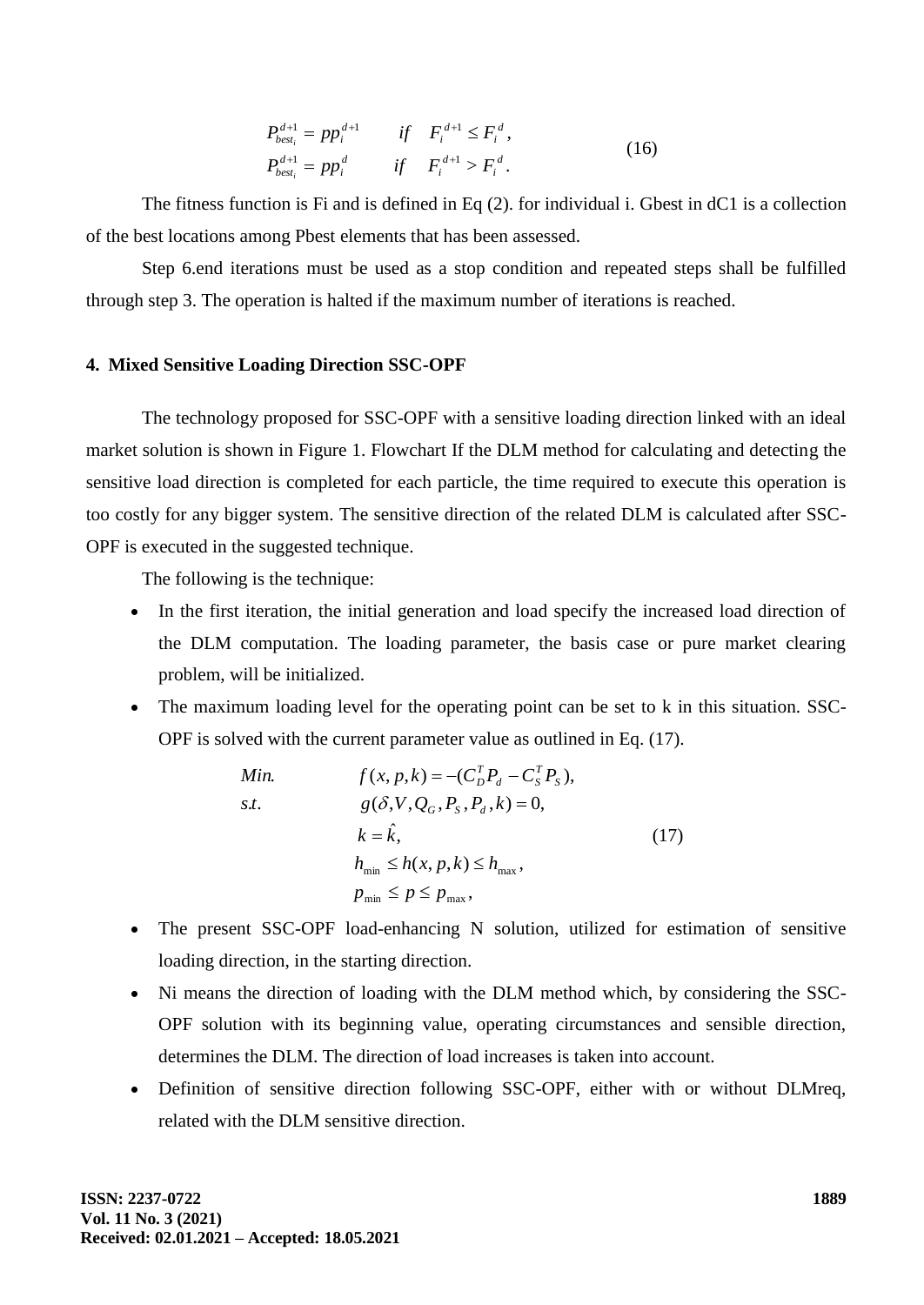$$
P_{best_i}^{d+1} = pp_i^{d+1} \t\t if \tF_i^{d+1} \le F_i^d,
$$
  
\n
$$
P_{best_i}^{d+1} = pp_i^d \t\t if \tF_i^{d+1} > F_i^d.
$$
\n(16)

The fitness function is Fi and is defined in Eq (2). for individual i. Gbest in dC1 is a collection of the best locations among Pbest elements that has been assessed.

Step 6.end iterations must be used as a stop condition and repeated steps shall be fulfilled through step 3. The operation is halted if the maximum number of iterations is reached.

#### **4. Mixed Sensitive Loading Direction SSC-OPF**

The technology proposed for SSC-OPF with a sensitive loading direction linked with an ideal market solution is shown in Figure 1. Flowchart If the DLM method for calculating and detecting the sensitive load direction is completed for each particle, the time required to execute this operation is too costly for any bigger system. The sensitive direction of the related DLM is calculated after SSC-OPF is executed in the suggested technique.

The following is the technique:

- In the first iteration, the initial generation and load specify the increased load direction of the DLM computation. The loading parameter, the basis case or pure market clearing problem, will be initialized.
- The maximum loading level for the operating point can be set to k in this situation. SSC-OPF is solved with the current parameter value as outlined in Eq. (17).

Min. 
$$
f(x, p, k) = -(C_D^T P_d - C_S^T P_S),
$$
  
s.t. 
$$
g(\delta, V, Q_G, P_S, P_d, k) = 0,
$$

$$
k = \hat{k},
$$

$$
h_{\min} \le h(x, p, k) \le h_{\max},
$$

$$
p_{\min} \le p \le p_{\max},
$$

$$
(17)
$$

- The present SSC-OPF load-enhancing N solution, utilized for estimation of sensitive loading direction, in the starting direction.
- Ni means the direction of loading with the DLM method which, by considering the SSC-OPF solution with its beginning value, operating circumstances and sensible direction, determines the DLM. The direction of load increases is taken into account.
- Definition of sensitive direction following SSC-OPF, either with or without DLMreq, related with the DLM sensitive direction.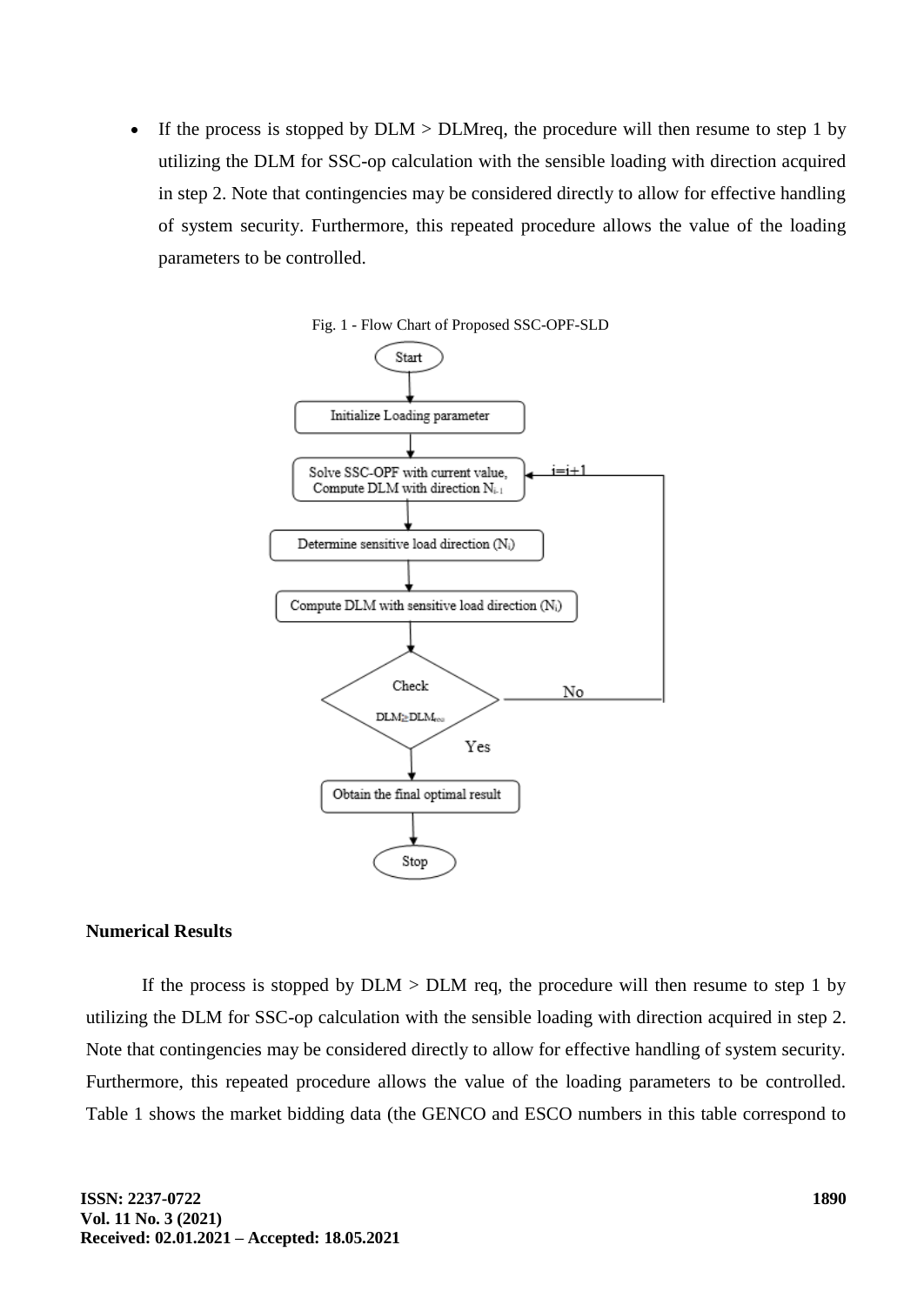• If the process is stopped by  $DLM > DLM$  req, the procedure will then resume to step 1 by utilizing the DLM for SSC-op calculation with the sensible loading with direction acquired in step 2. Note that contingencies may be considered directly to allow for effective handling of system security. Furthermore, this repeated procedure allows the value of the loading parameters to be controlled.





### **Numerical Results**

If the process is stopped by  $DLM > DLM$  req, the procedure will then resume to step 1 by utilizing the DLM for SSC-op calculation with the sensible loading with direction acquired in step 2. Note that contingencies may be considered directly to allow for effective handling of system security. Furthermore, this repeated procedure allows the value of the loading parameters to be controlled. Table 1 shows the market bidding data (the GENCO and ESCO numbers in this table correspond to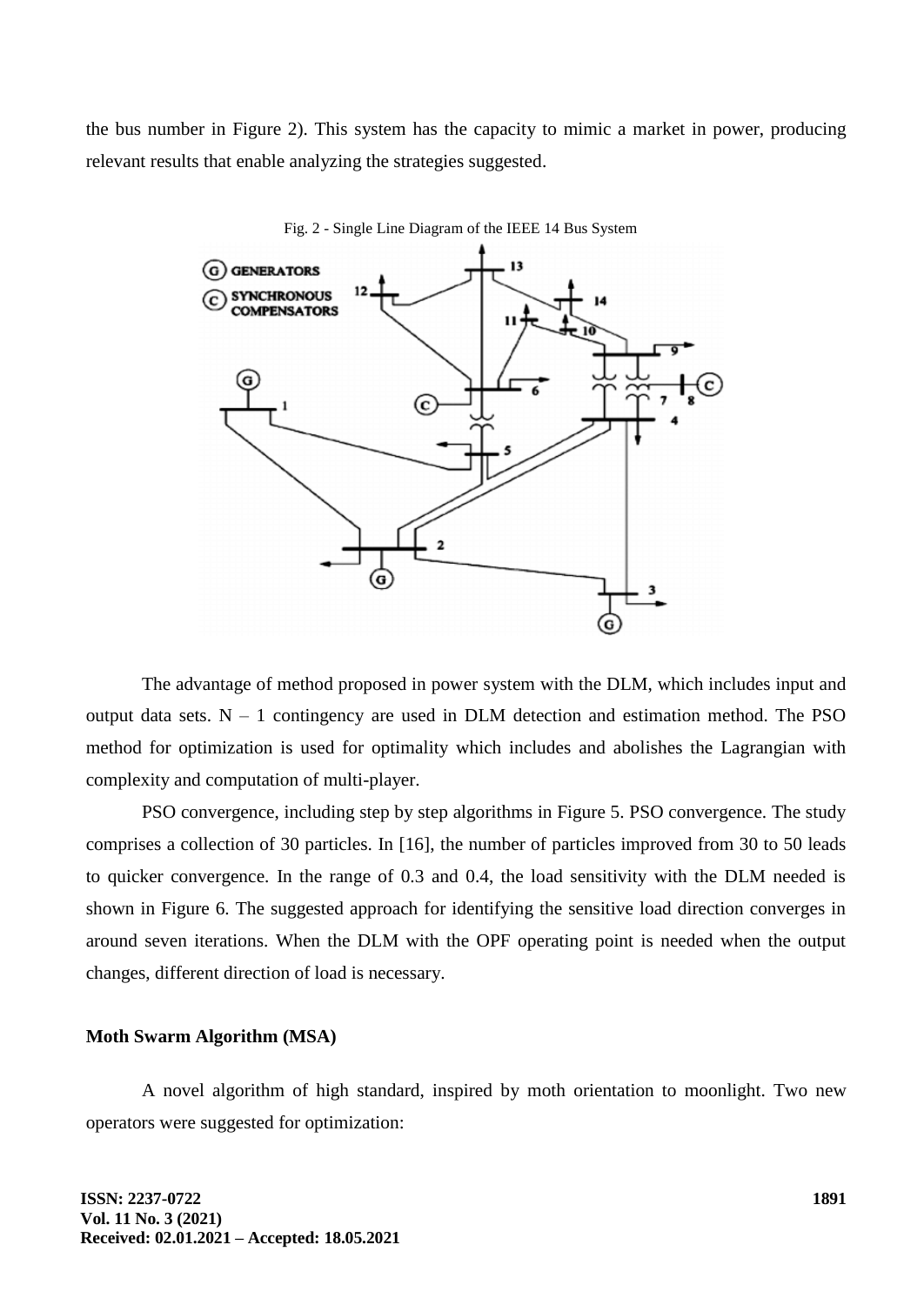the bus number in Figure 2). This system has the capacity to mimic a market in power, producing relevant results that enable analyzing the strategies suggested.



Fig. 2 - Single Line Diagram of the IEEE 14 Bus System

The advantage of method proposed in power system with the DLM, which includes input and output data sets.  $N - 1$  contingency are used in DLM detection and estimation method. The PSO method for optimization is used for optimality which includes and abolishes the Lagrangian with complexity and computation of multi-player.

PSO convergence, including step by step algorithms in Figure 5. PSO convergence. The study comprises a collection of 30 particles. In [16], the number of particles improved from 30 to 50 leads to quicker convergence. In the range of 0.3 and 0.4, the load sensitivity with the DLM needed is shown in Figure 6. The suggested approach for identifying the sensitive load direction converges in around seven iterations. When the DLM with the OPF operating point is needed when the output changes, different direction of load is necessary.

#### **Moth Swarm Algorithm (MSA)**

A novel algorithm of high standard, inspired by moth orientation to moonlight. Two new operators were suggested for optimization: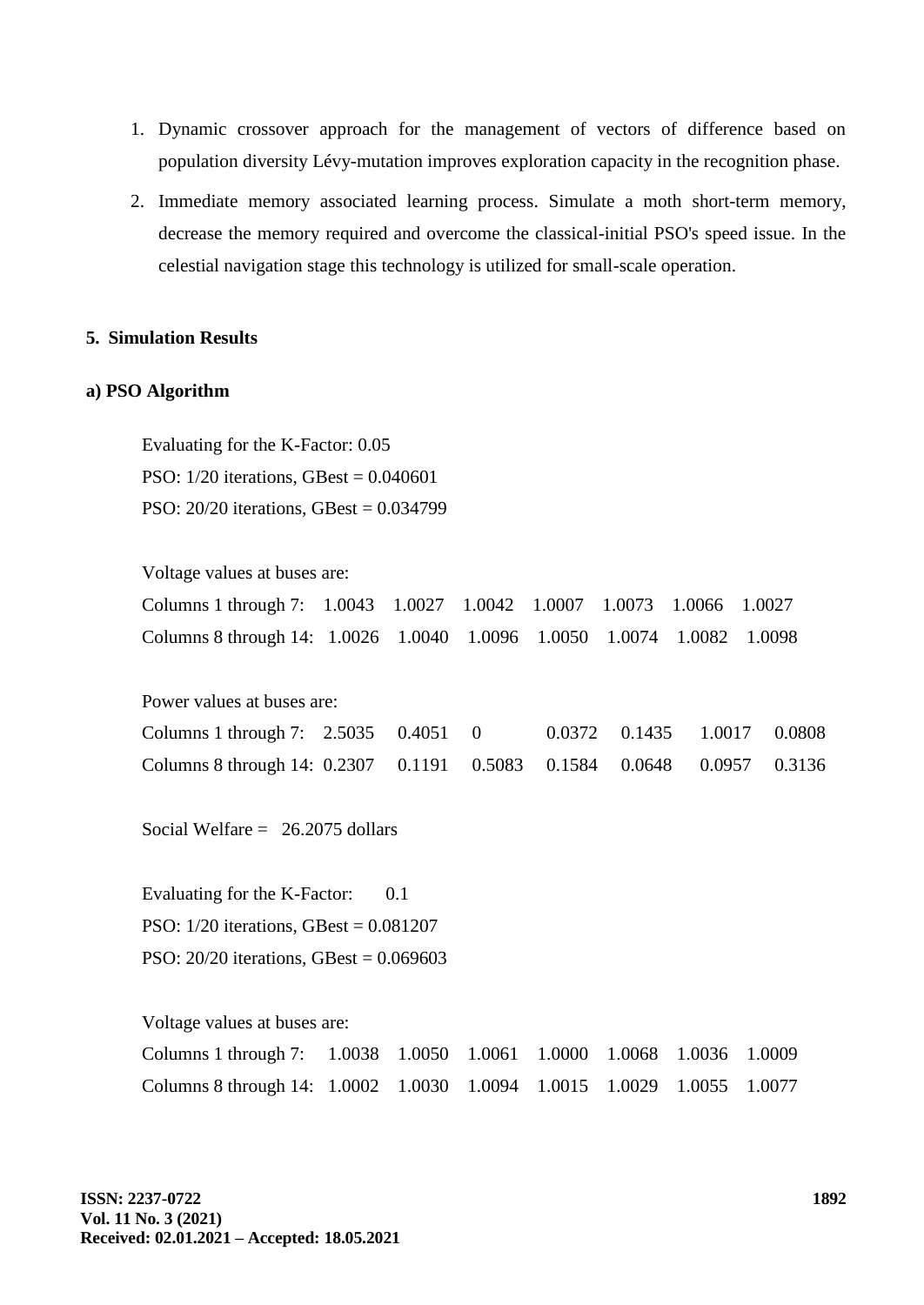- 1. Dynamic crossover approach for the management of vectors of difference based on population diversity Lévy-mutation improves exploration capacity in the recognition phase.
- 2. Immediate memory associated learning process. Simulate a moth short-term memory, decrease the memory required and overcome the classical-initial PSO's speed issue. In the celestial navigation stage this technology is utilized for small-scale operation.

### **5. Simulation Results**

#### **a) PSO Algorithm**

Evaluating for the K-Factor: 0.05 PSO: 1/20 iterations, GBest = 0.040601 PSO: 20/20 iterations, GBest = 0.034799

Voltage values at buses are:

| Columns 1 through 7: 1.0043 1.0027 1.0042 1.0007 1.0073 1.0066 1.0027  |  |  |  |  |
|------------------------------------------------------------------------|--|--|--|--|
| Columns 8 through 14: 1.0026 1.0040 1.0096 1.0050 1.0074 1.0082 1.0098 |  |  |  |  |

Power values at buses are:

| Columns 1 through 7: $2.5035$ 0.4051 0                                 |  |  | 0.0372 0.1435 1.0017 0.0808 |  |
|------------------------------------------------------------------------|--|--|-----------------------------|--|
| Columns 8 through 14: 0.2307 0.1191 0.5083 0.1584 0.0648 0.0957 0.3136 |  |  |                             |  |

Social Welfare  $= 26.2075$  dollars

Evaluating for the K-Factor: 0.1 PSO: 1/20 iterations, GBest = 0.081207 PSO: 20/20 iterations, GBest = 0.069603

Voltage values at buses are:

| Columns 1 through 7: 1.0038 1.0050 1.0061 1.0000 1.0068 1.0036 1.0009        |  |  |  |  |
|------------------------------------------------------------------------------|--|--|--|--|
| Columns 8 through 14: 1.0002  1.0030  1.0094  1.0015  1.0029  1.0055  1.0077 |  |  |  |  |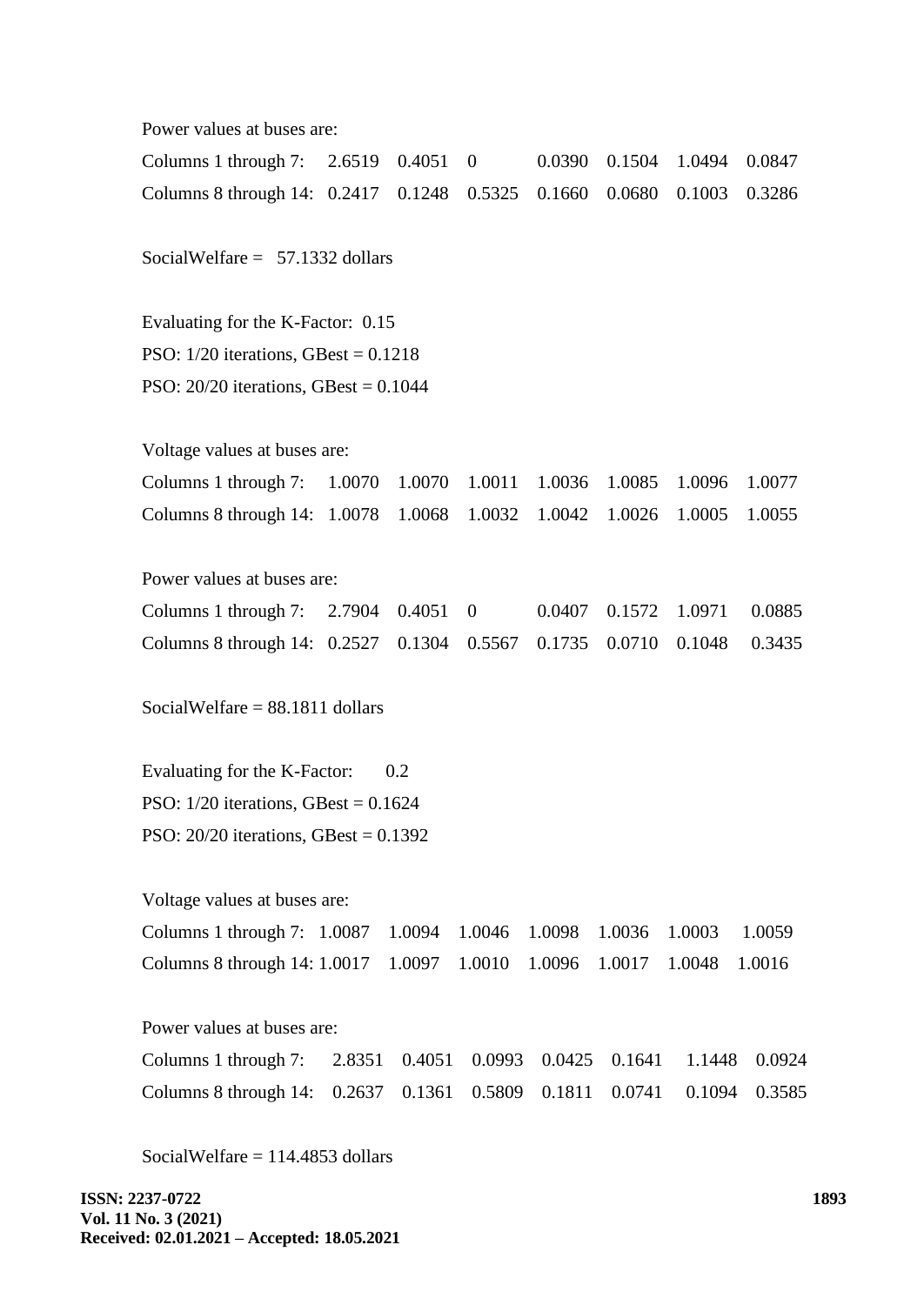Power values at buses are:

| Columns 1 through 7: $2.6519$ 0.4051 0                   |  |  |        | 0.0390 | 0.1504 | 1.0494 | 0.0847 |  |  |  |
|----------------------------------------------------------|--|--|--------|--------|--------|--------|--------|--|--|--|
| Columns 8 through 14: 0.2417 0.1248 0.5325 0.1660 0.0680 |  |  |        |        |        | 0.1003 | 0.3286 |  |  |  |
| SocialWelfare $= 57.1332$ dollars                        |  |  |        |        |        |        |        |  |  |  |
| Evaluating for the K-Factor: 0.15                        |  |  |        |        |        |        |        |  |  |  |
| PSO: $1/20$ iterations, GBest = 0.1218                   |  |  |        |        |        |        |        |  |  |  |
| PSO: $20/20$ iterations, GBest = 0.1044                  |  |  |        |        |        |        |        |  |  |  |
|                                                          |  |  |        |        |        |        |        |  |  |  |
| Voltage values at buses are:                             |  |  |        |        |        |        |        |  |  |  |
| Columns 1 through 7: 1.0070 1.0070                       |  |  | 1.0011 | 1.0036 | 1.0085 | 1.0096 | 1.0077 |  |  |  |

Power values at buses are:

| Columns 1 through 7: $2.7904$ 0.4051 0                                 |  |  | 0.0407 0.1572 1.0971 0.0885 |  |
|------------------------------------------------------------------------|--|--|-----------------------------|--|
| Columns 8 through 14: 0.2527 0.1304 0.5567 0.1735 0.0710 0.1048 0.3435 |  |  |                             |  |

Columns 8 through 14: 1.0078 1.0068 1.0032 1.0042 1.0026 1.0005 1.0055

SocialWelfare = 88.1811 dollars

Evaluating for the K-Factor: 0.2 PSO:  $1/20$  iterations, GBest =  $0.1624$ PSO: 20/20 iterations, GBest = 0.1392

Voltage values at buses are:

| Columns 1 through 7: 1.0087 1.0094 1.0046 1.0098 1.0036 1.0003 1.0059  |  |  |  |  |
|------------------------------------------------------------------------|--|--|--|--|
| Columns 8 through 14: 1.0017 1.0097 1.0010 1.0096 1.0017 1.0048 1.0016 |  |  |  |  |

Power values at buses are:

| Columns 1 through 7: 2.8351 0.4051 0.0993 0.0425 0.1641 1.1448 0.0924  |  |  |  |  |
|------------------------------------------------------------------------|--|--|--|--|
| Columns 8 through 14: 0.2637 0.1361 0.5809 0.1811 0.0741 0.1094 0.3585 |  |  |  |  |

SocialWelfare  $= 114.4853$  dollars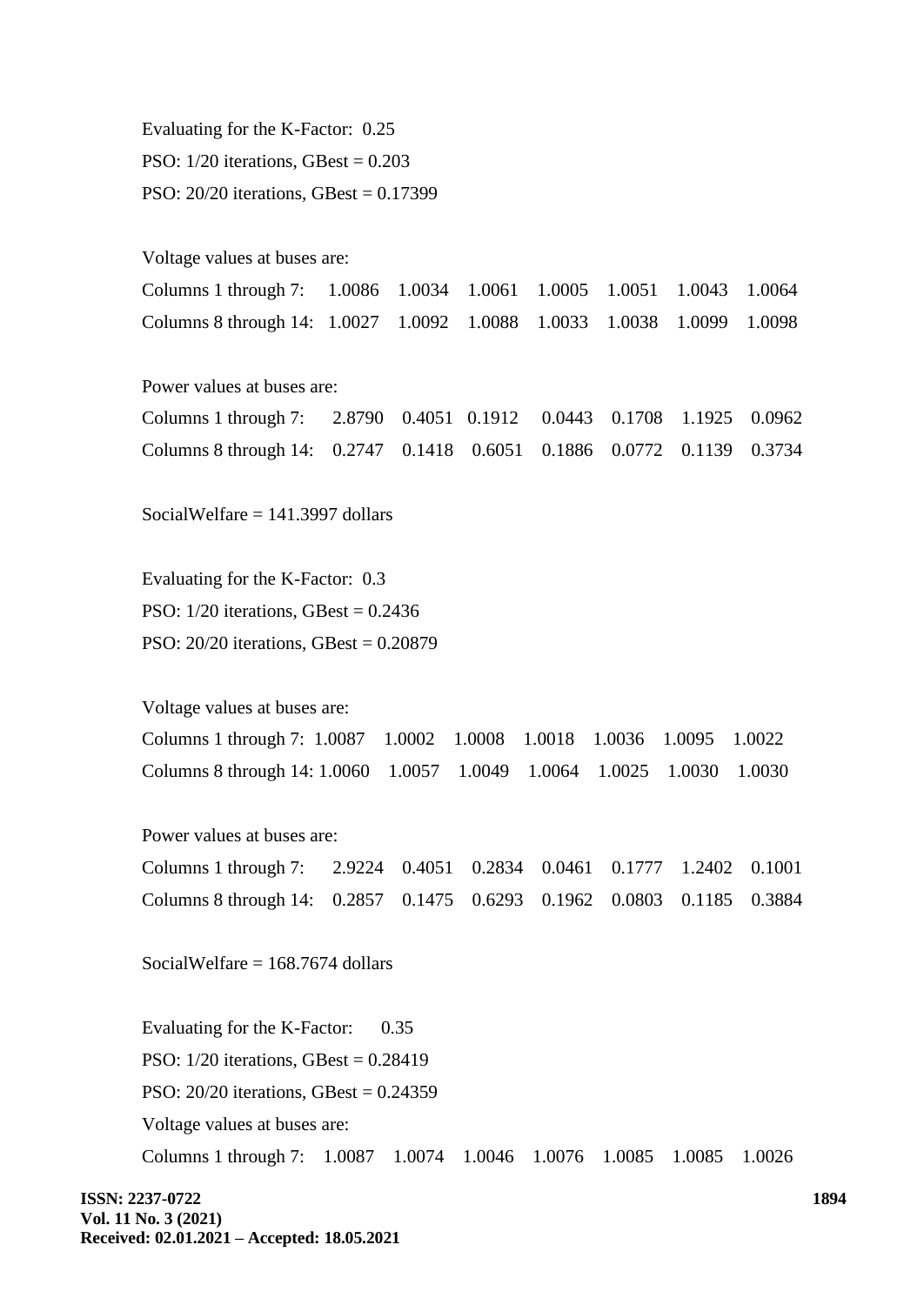Evaluating for the K-Factor: 0.25 PSO:  $1/20$  iterations, GBest =  $0.203$ PSO: 20/20 iterations, GBest = 0.17399 Voltage values at buses are: Columns 1 through 7: 1.0086 1.0034 1.0061 1.0005 1.0051 1.0043 1.0064 Columns 8 through 14: 1.0027 1.0092 1.0088 1.0033 1.0038 1.0099 1.0098 Power values at buses are: Columns 1 through 7: 2.8790 0.4051 0.1912 0.0443 0.1708 1.1925 0.0962 Columns 8 through 14: 0.2747 0.1418 0.6051 0.1886 0.0772 0.1139 0.3734 SocialWelfare = 141.3997 dollars Evaluating for the K-Factor: 0.3 PSO: 1/20 iterations, GBest = 0.2436 PSO: 20/20 iterations, GBest = 0.20879 Voltage values at buses are: Columns 1 through 7: 1.0087 1.0002 1.0008 1.0018 1.0036 1.0095 1.0022 Columns 8 through 14: 1.0060 1.0057 1.0049 1.0064 1.0025 1.0030 1.0030 Power values at buses are: Columns 1 through 7: 2.9224 0.4051 0.2834 0.0461 0.1777 1.2402 0.1001 Columns 8 through 14: 0.2857 0.1475 0.6293 0.1962 0.0803 0.1185 0.3884 SocialWelfare  $= 168.7674$  dollars Evaluating for the K-Factor: 0.35 PSO:  $1/20$  iterations, GBest =  $0.28419$ PSO: 20/20 iterations, GBest = 0.24359 Voltage values at buses are: Columns 1 through 7: 1.0087 1.0074 1.0046 1.0076 1.0085 1.0085 1.0026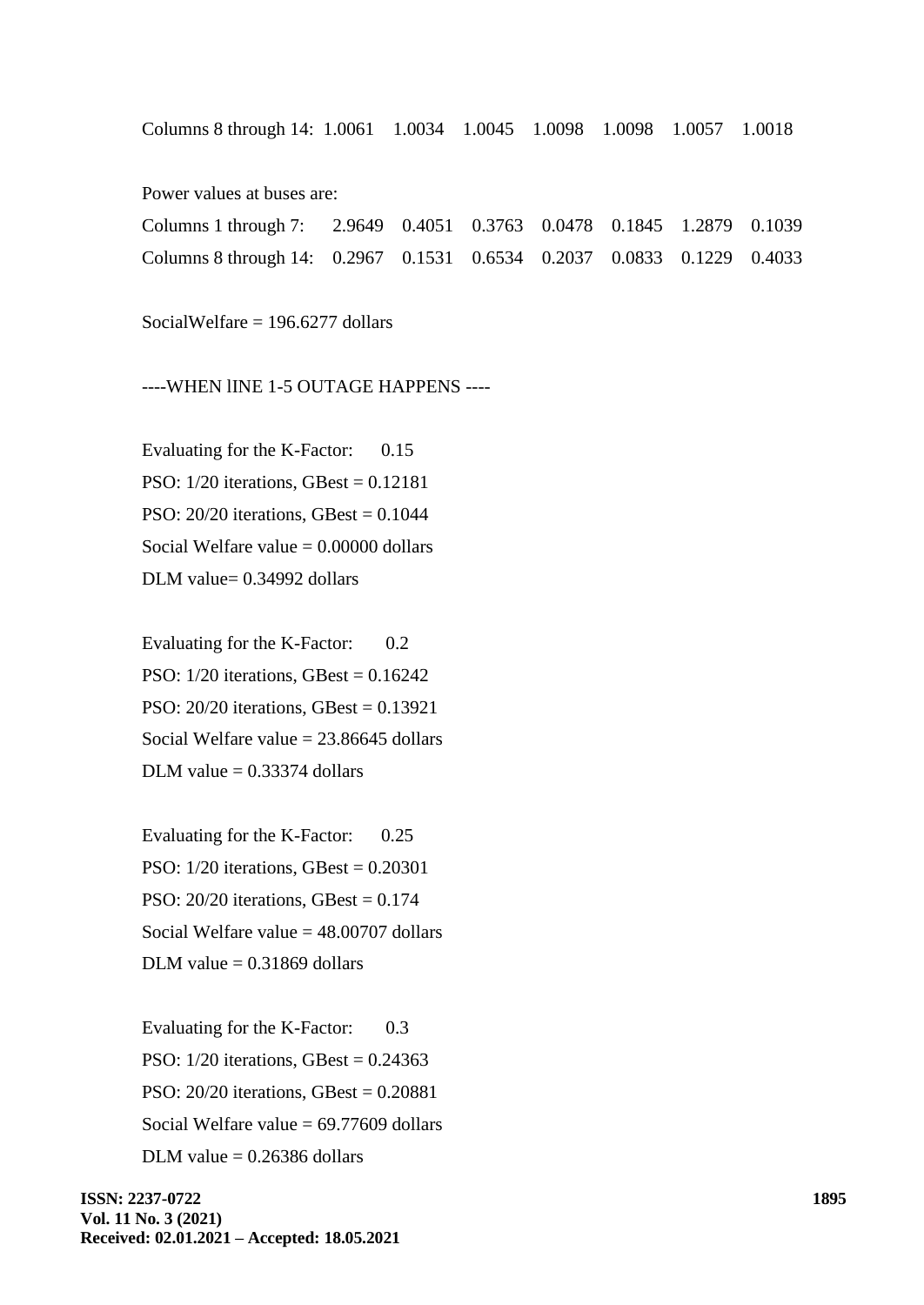Columns 8 through 14: 1.0061 1.0034 1.0045 1.0098 1.0098 1.0057 1.0018

Power values at buses are:

| Columns 1 through 7: 2.9649 0.4051 0.3763 0.0478 0.1845 1.2879 0.1039  |  |  |  |  |
|------------------------------------------------------------------------|--|--|--|--|
| Columns 8 through 14: 0.2967 0.1531 0.6534 0.2037 0.0833 0.1229 0.4033 |  |  |  |  |

SocialWelfare = 196.6277 dollars

----WHEN lINE 1-5 OUTAGE HAPPENS ----

Evaluating for the K-Factor: 0.15 PSO: 1/20 iterations, GBest = 0.12181 PSO: 20/20 iterations, GBest = 0.1044 Social Welfare value  $= 0.00000$  dollars DLM value= 0.34992 dollars

Evaluating for the K-Factor: 0.2 PSO: 1/20 iterations, GBest = 0.16242 PSO: 20/20 iterations, GBest = 0.13921 Social Welfare value  $= 23.86645$  dollars DLM value  $= 0.33374$  dollars

Evaluating for the K-Factor: 0.25 PSO: 1/20 iterations, GBest = 0.20301 PSO: 20/20 iterations, GBest = 0.174 Social Welfare value  $= 48.00707$  dollars DLM value  $= 0.31869$  dollars

Evaluating for the K-Factor: 0.3 PSO: 1/20 iterations, GBest = 0.24363 PSO: 20/20 iterations, GBest = 0.20881 Social Welfare value = 69.77609 dollars DLM value  $= 0.26386$  dollars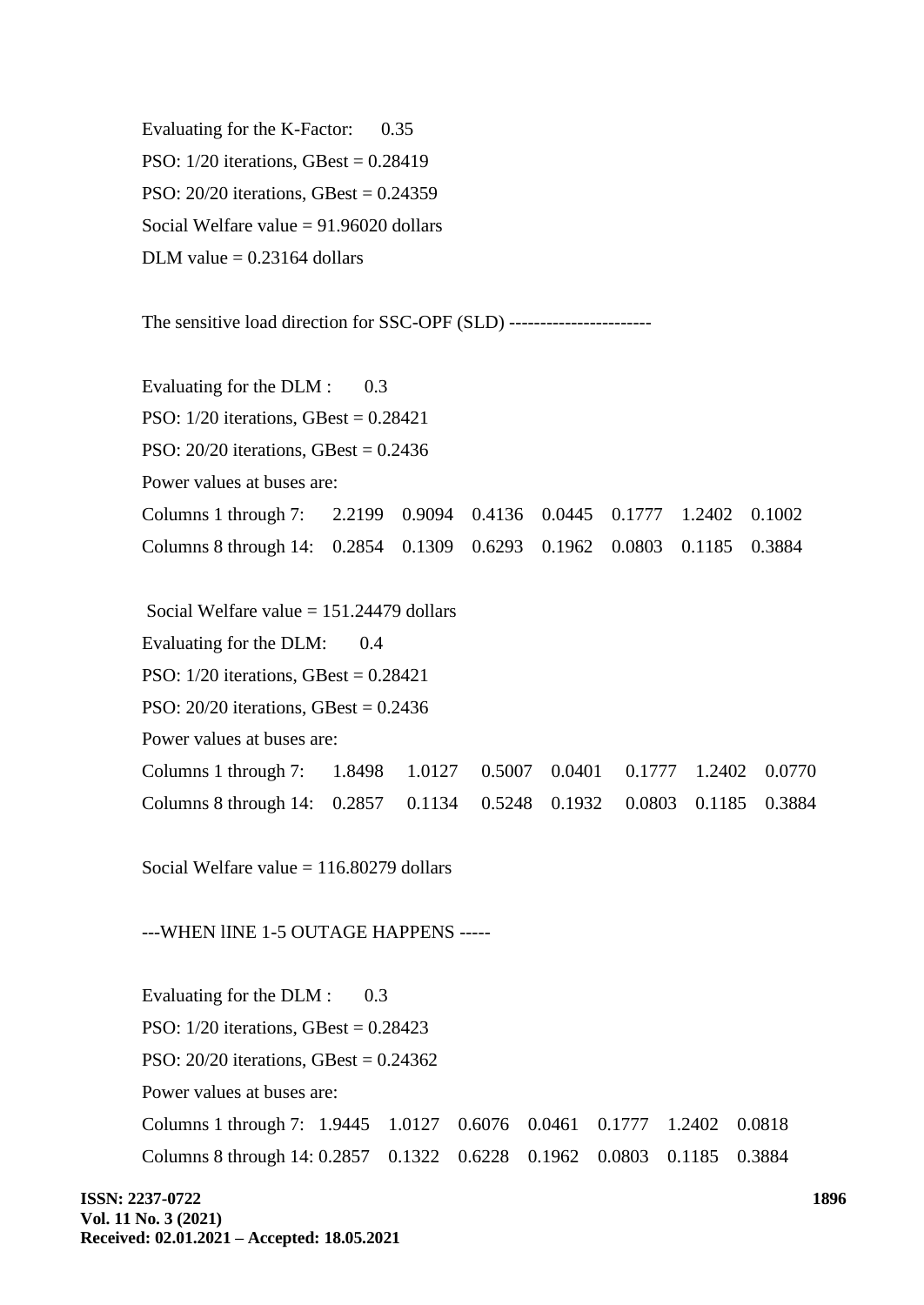Evaluating for the K-Factor: 0.35 PSO: 1/20 iterations, GBest = 0.28419 PSO: 20/20 iterations, GBest = 0.24359 Social Welfare value  $= 91.96020$  dollars DLM value  $= 0.23164$  dollars

The sensitive load direction for SSC-OPF (SLD) -----------------------

Evaluating for the DLM : 0.3 PSO: 1/20 iterations, GBest = 0.28421 PSO:  $20/20$  iterations, GBest = 0.2436 Power values at buses are: Columns 1 through 7: 2.2199 0.9094 0.4136 0.0445 0.1777 1.2402 0.1002 Columns 8 through 14: 0.2854 0.1309 0.6293 0.1962 0.0803 0.1185 0.3884

Social Welfare value  $= 151.24479$  dollars Evaluating for the DLM:  $0.4$ PSO: 1/20 iterations, GBest = 0.28421 PSO: 20/20 iterations, GBest = 0.2436 Power values at buses are: Columns 1 through 7: 1.8498 1.0127 0.5007 0.0401 0.1777 1.2402 0.0770 Columns 8 through 14: 0.2857 0.1134 0.5248 0.1932 0.0803 0.1185 0.3884

Social Welfare value  $= 116.80279$  dollars

---WHEN lINE 1-5 OUTAGE HAPPENS -----

Evaluating for the DLM : 0.3 PSO: 1/20 iterations, GBest = 0.28423 PSO: 20/20 iterations, GBest = 0.24362 Power values at buses are: Columns 1 through 7: 1.9445 1.0127 0.6076 0.0461 0.1777 1.2402 0.0818 Columns 8 through 14: 0.2857 0.1322 0.6228 0.1962 0.0803 0.1185 0.3884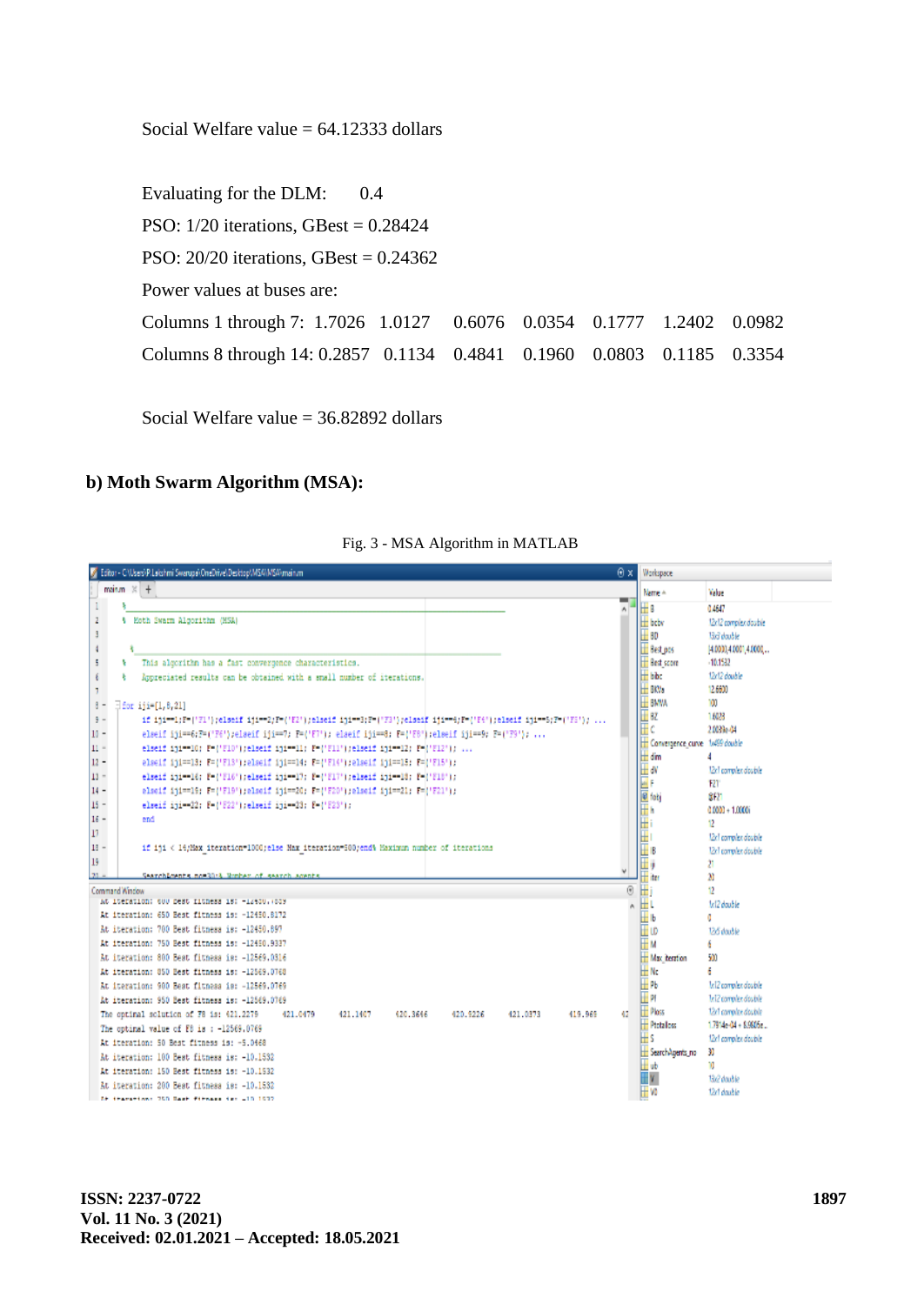Social Welfare value  $= 64.12333$  dollars

Evaluating for the DLM: 0.4 PSO: 1/20 iterations, GBest = 0.28424 PSO: 20/20 iterations, GBest = 0.24362 Power values at buses are: Columns 1 through 7: 1.7026 1.0127 0.6076 0.0354 0.1777 1.2402 0.0982 Columns 8 through 14: 0.2857 0.1134 0.4841 0.1960 0.0803 0.1185 0.3354

Social Welfare value = 36.82892 dollars

### **b) Moth Swarm Algorithm (MSA):**



Fig. 3 - MSA Algorithm in MATLAB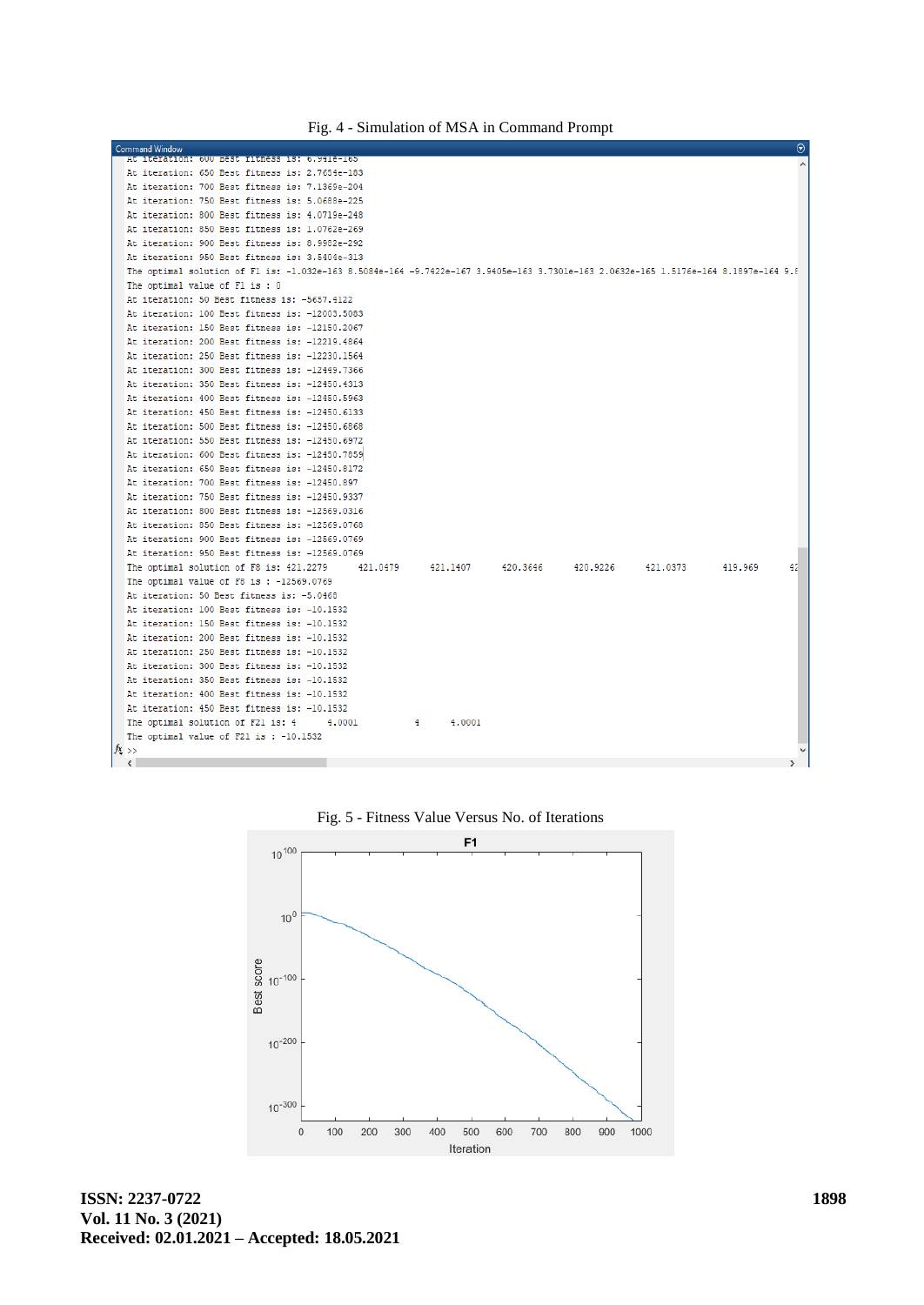| Fig. 4 - Simulation of MSA in Command Prompt |
|----------------------------------------------|
|----------------------------------------------|

| <b>Command Window</b>                                                                                                               |          |          |          |          |          |         | $\odot$ |
|-------------------------------------------------------------------------------------------------------------------------------------|----------|----------|----------|----------|----------|---------|---------|
| At iteration: 600 Best fitness is: 6.941e-165                                                                                       |          |          |          |          |          |         |         |
| At iteration: 650 Best fitness is: 2.7654e-183                                                                                      |          |          |          |          |          |         |         |
| At iteration: 700 Best fitness is: 7.1369e-204                                                                                      |          |          |          |          |          |         |         |
| At iteration: 750 Best fitness is: 5.0688e-225                                                                                      |          |          |          |          |          |         |         |
| At iteration: 800 Best fitness is: 4.0719e-248                                                                                      |          |          |          |          |          |         |         |
| At iteration: 850 Best fitness is: 1.0762e-269                                                                                      |          |          |          |          |          |         |         |
| At iteration: 900 Best fitness is: 8.9982e-292                                                                                      |          |          |          |          |          |         |         |
| At iteration: 950 Best fitness is: 3.5404e-313                                                                                      |          |          |          |          |          |         |         |
| The optimal solution of Fl is: -1.032e-163 8.5084e-164 -9.7422e-167 3.9405e-163 3.7301e-163 2.0632e-165 1.5176e-164 8.1897e-164 9.8 |          |          |          |          |          |         |         |
| The optimal value of Fl is: 0                                                                                                       |          |          |          |          |          |         |         |
| At iteration: 50 Best fitness is: -5657.4122                                                                                        |          |          |          |          |          |         |         |
| At iteration: 100 Best fitness is: -12003.5083                                                                                      |          |          |          |          |          |         |         |
| At iteration: 150 Best fitness is: -12150.2067                                                                                      |          |          |          |          |          |         |         |
| At iteration: 200 Best fitness is: -12219.4864                                                                                      |          |          |          |          |          |         |         |
| At iteration: 250 Best fitness is: -12230.1564                                                                                      |          |          |          |          |          |         |         |
| At iteration: 300 Best fitness is: -12449.7366                                                                                      |          |          |          |          |          |         |         |
| At iteration: 350 Best fitness is: -12450.4313                                                                                      |          |          |          |          |          |         |         |
| At iteration: 400 Best fitness is: -12450.5963                                                                                      |          |          |          |          |          |         |         |
| At iteration: 450 Best fitness is: -12450.6133                                                                                      |          |          |          |          |          |         |         |
| At iteration: 500 Best fitness is: -12450.6868                                                                                      |          |          |          |          |          |         |         |
| At iteration: 550 Best fitness is: -12450.6972                                                                                      |          |          |          |          |          |         |         |
| At iteration: 600 Best fitness is: -12450.7859                                                                                      |          |          |          |          |          |         |         |
| At iteration: 650 Best fitness is: -12450.8172                                                                                      |          |          |          |          |          |         |         |
| At iteration: 700 Best fitness is: -12450.897                                                                                       |          |          |          |          |          |         |         |
| At iteration: 750 Best fitness is: -12450.9337                                                                                      |          |          |          |          |          |         |         |
| At iteration: 800 Best fitness is: -12569.0316                                                                                      |          |          |          |          |          |         |         |
| At iteration: 850 Best fitness is: -12569.0768                                                                                      |          |          |          |          |          |         |         |
| At iteration: 900 Best fitness is: -12569.0769                                                                                      |          |          |          |          |          |         |         |
| At iteration: 950 Best fitness is: -12569.0769                                                                                      |          |          |          |          |          |         |         |
| The optimal solution of F8 is: 421.2279                                                                                             | 421,0479 | 421.1407 | 420,3646 | 420.9226 | 421.0373 | 419.969 | 42      |
| The optimal value of $F8$ is: $-12569.0769$                                                                                         |          |          |          |          |          |         |         |
| At iteration: 50 Best fitness is: -5.0468                                                                                           |          |          |          |          |          |         |         |
| At iteration: 100 Best fitness is: -10.1532                                                                                         |          |          |          |          |          |         |         |
| At iteration: 150 Best fitness is: -10.1532                                                                                         |          |          |          |          |          |         |         |
| At iteration: 200 Best fitness is: -10.1532                                                                                         |          |          |          |          |          |         |         |
| At iteration: 250 Best fitness is: -10.1532                                                                                         |          |          |          |          |          |         |         |
| At iteration: 300 Best fitness is: -10.1532                                                                                         |          |          |          |          |          |         |         |
| At iteration: 350 Best fitness is: -10.1532<br>At iteration: 400 Best fitness is: -10.1532                                          |          |          |          |          |          |         |         |
| At iteration: 450 Best fitness is: -10.1532                                                                                         |          |          |          |          |          |         |         |
| The optimal solution of F21 is: 4<br>4.0001                                                                                         | 4        | 4,0001   |          |          |          |         |         |
| The optimal value of F21 is: -10.1532                                                                                               |          |          |          |          |          |         |         |
| $f_{\frac{x}{2}}$ >>                                                                                                                |          |          |          |          |          |         |         |
| $\langle$                                                                                                                           |          |          |          |          |          |         |         |

Fig. 5 - Fitness Value Versus No. of Iterations



**ISSN: 2237-0722 Vol. 11 No. 3 (2021) Received: 02.01.2021 – Accepted: 18.05.2021**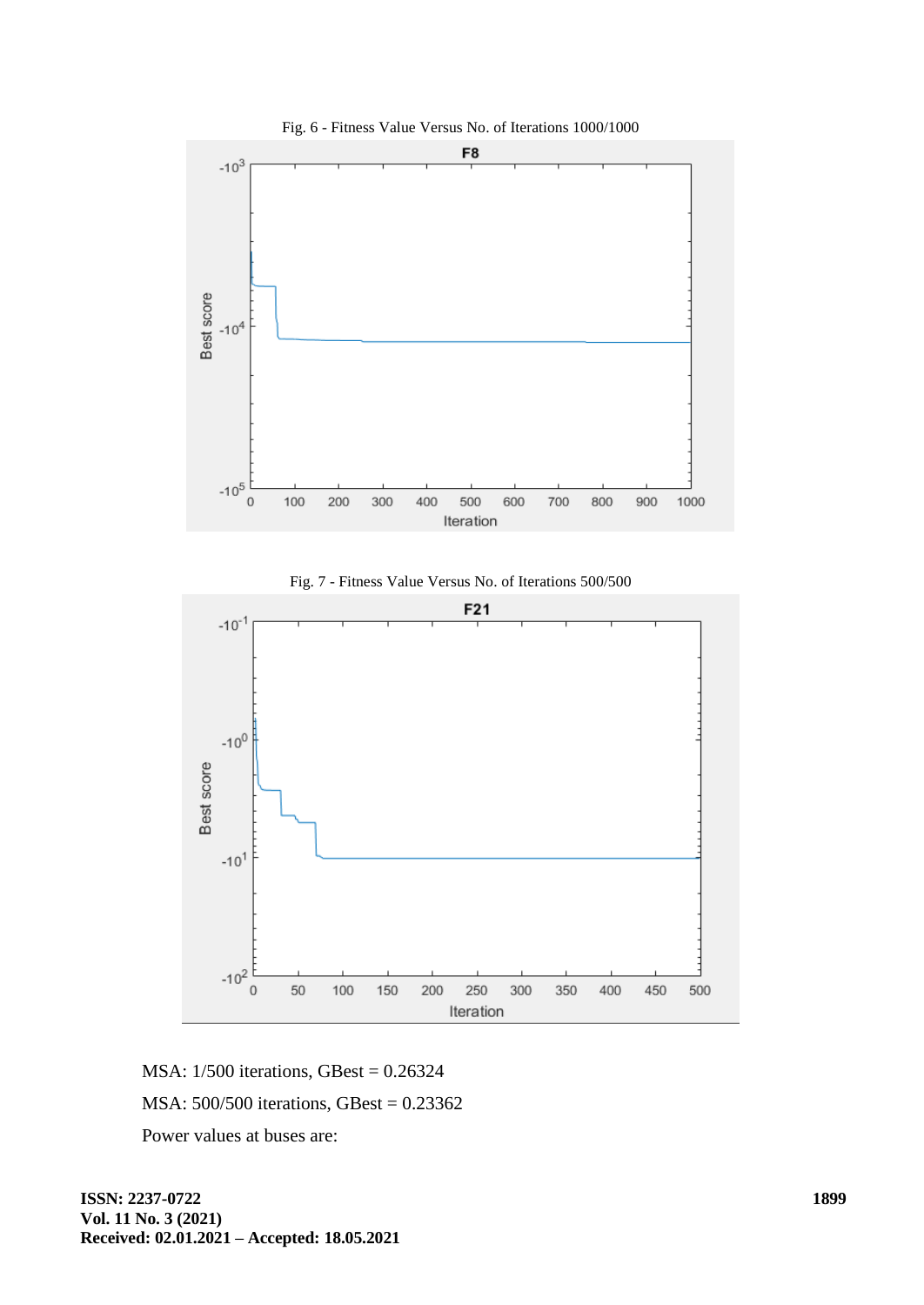







MSA: 1/500 iterations, GBest = 0.26324 MSA: 500/500 iterations, GBest = 0.23362 Power values at buses are: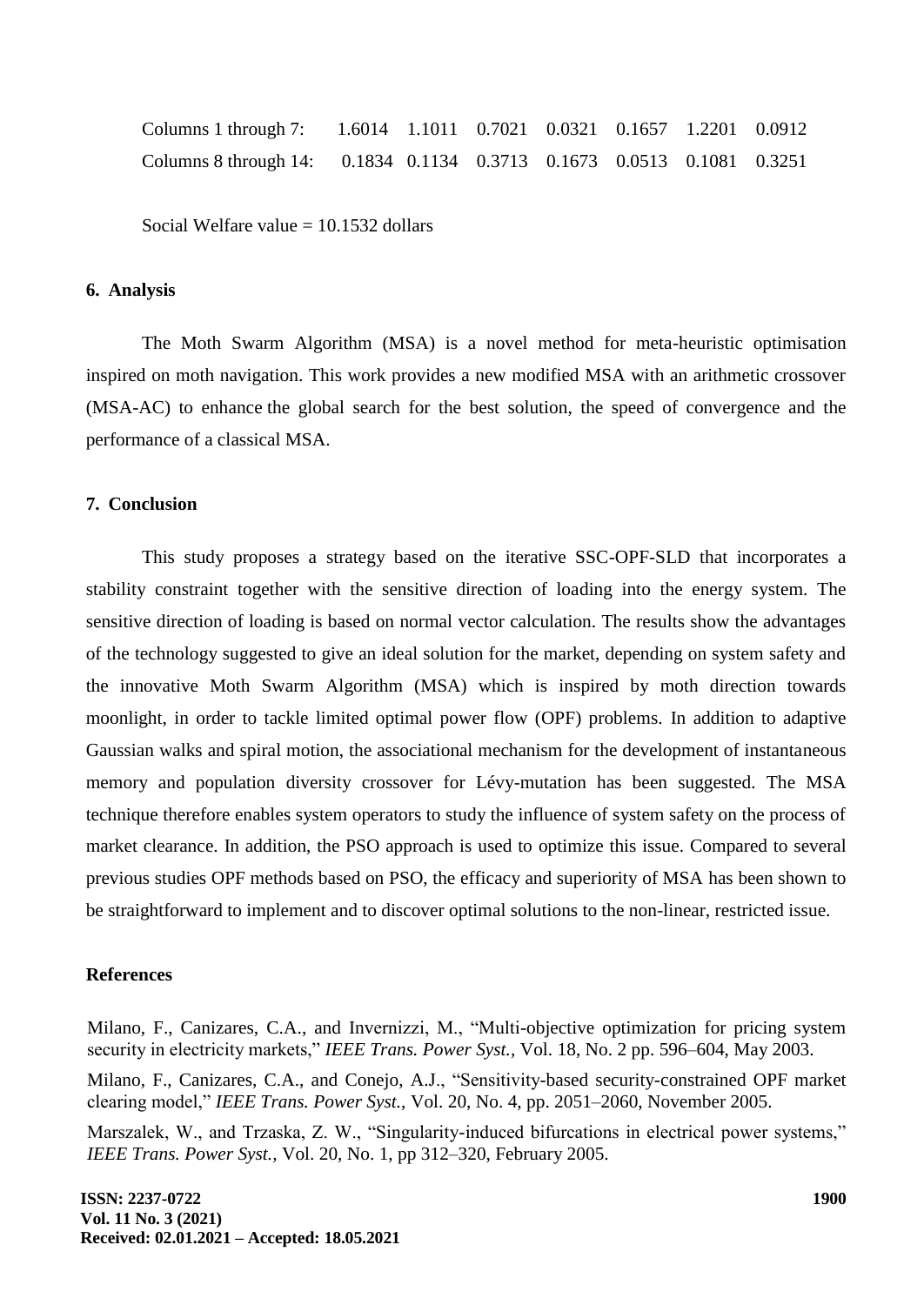| Columns 1 through 7: 1.6014 1.1011 0.7021 0.0321 0.1657 1.2201 0.0912  |  |  |  |  |
|------------------------------------------------------------------------|--|--|--|--|
| Columns 8 through 14: 0.1834 0.1134 0.3713 0.1673 0.0513 0.1081 0.3251 |  |  |  |  |

Social Welfare value  $= 10.1532$  dollars

#### **6. Analysis**

The Moth Swarm Algorithm (MSA) is a novel method for meta-heuristic optimisation inspired on moth navigation. This work provides a new modified MSA with an arithmetic crossover (MSA-AC) to enhance the global search for the best solution, the speed of convergence and the performance of a classical MSA.

### **7. Conclusion**

This study proposes a strategy based on the iterative SSC-OPF-SLD that incorporates a stability constraint together with the sensitive direction of loading into the energy system. The sensitive direction of loading is based on normal vector calculation. The results show the advantages of the technology suggested to give an ideal solution for the market, depending on system safety and the innovative Moth Swarm Algorithm (MSA) which is inspired by moth direction towards moonlight, in order to tackle limited optimal power flow (OPF) problems. In addition to adaptive Gaussian walks and spiral motion, the associational mechanism for the development of instantaneous memory and population diversity crossover for Lévy-mutation has been suggested. The MSA technique therefore enables system operators to study the influence of system safety on the process of market clearance. In addition, the PSO approach is used to optimize this issue. Compared to several previous studies OPF methods based on PSO, the efficacy and superiority of MSA has been shown to be straightforward to implement and to discover optimal solutions to the non-linear, restricted issue.

#### **References**

Milano, F., Canizares, C.A., and Invernizzi, M., "Multi-objective optimization for pricing system security in electricity markets," *IEEE Trans. Power Syst.,* Vol. 18, No. 2 pp. 596–604, May 2003.

Milano, F., Canizares, C.A., and Conejo, A.J., "Sensitivity-based security-constrained OPF market clearing model," *IEEE Trans. Power Syst.,* Vol. 20, No. 4, pp. 2051–2060, November 2005.

Marszalek, W., and Trzaska, Z. W., "Singularity-induced bifurcations in electrical power systems," *IEEE Trans. Power Syst.,* Vol. 20, No. 1, pp 312–320, February 2005.